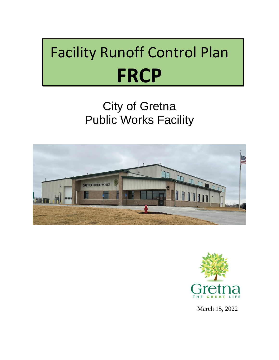# Facility Runoff Control Plan **FRCP**

## City of Gretna Public Works Facility





March 15, 2022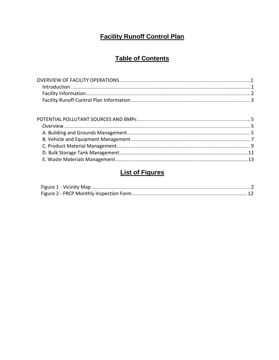### **Facility Runoff Control Plan**

### **Table of Contents**

### **List of Figures**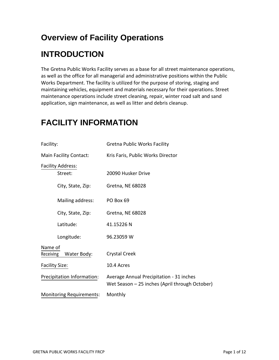## **Overview of Facility Operations**

## **INTRODUCTION**

The Gretna Public Works Facility serves as a base for all street maintenance operations, as well as the office for all managerial and administrative positions within the Public Works Department. The facility is utilized for the purpose of storing, staging and maintaining vehicles, equipment and materials necessary for their operations. Street maintenance operations include street cleaning, repair, winter road salt and sand application, sign maintenance, as well as litter and debris cleanup.

| Facility:                           | <b>Gretna Public Works Facility</b>                                                        |  |  |
|-------------------------------------|--------------------------------------------------------------------------------------------|--|--|
| Main Facility Contact:              | Kris Faris, Public Works Director                                                          |  |  |
| <b>Facility Address:</b><br>Street: | 20090 Husker Drive                                                                         |  |  |
| City, State, Zip:                   | Gretna, NE 68028                                                                           |  |  |
| Mailing address:                    | PO Box 69                                                                                  |  |  |
| City, State, Zip:                   | Gretna, NE 68028                                                                           |  |  |
| Latitude:                           | 41.15226 N                                                                                 |  |  |
| Longitude:                          | 96.23059 W                                                                                 |  |  |
| Name of<br>Receiving Water Body:    | <b>Crystal Creek</b>                                                                       |  |  |
| <b>Facility Size:</b>               | 10.4 Acres                                                                                 |  |  |
| Precipitation Information:          | Average Annual Precipitation - 31 inches<br>Wet Season - 25 inches (April through October) |  |  |
| <b>Monitoring Requirements:</b>     | Monthly                                                                                    |  |  |

### **FACILITY INFORMATION**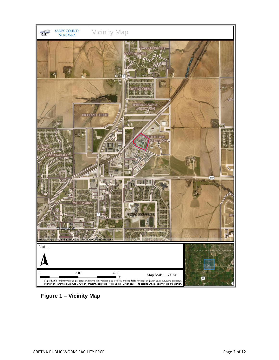

**Figure 1 – Vicinity Map**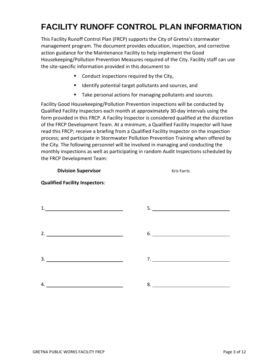## **FACILITY RUNOFF CONTROL PLAN INFORMATION**

This Facility Runoff Control Plan (FRCP) supports the City of Gretna's stormwater management program. The document provides education, inspection, and corrective action guidance for the Maintenance Facility to help implement the Good Housekeeping/Pollution Prevention Measures required of the City. Facility staff can use the site-specific information provided in this document to:

- Conduct inspections required by the City,
- Identify potential target pollutants and sources, and
- Take personal actions for managing pollutants and sources.

Facility Good Housekeeping/Pollution Prevention inspections will be conducted by Qualified Facility Inspectors each month at approximately 30-day intervals using the form provided in this FRCP. A Facility Inspector is considered qualified at the discretion of the FRCP Development Team. At a minimum, a Qualified Facility Inspector will have read this FRCP; receive a briefing from a Qualified Facility Inspector on the inspection process; and participate in Stormwater Pollution Prevention Training when offered by the City. The following personnel will be involved in managing and conducting the monthly inspections as well as participating in random Audit Inspections scheduled by the FRCP Development Team:

#### **Division Supervisor** Manual Computer Service Research Manual Computer Service Research Manual Computer Service R

# 1. 5. 2. 6. 3. 7. 4. 8.

#### **Qualified Facility Inspectors**: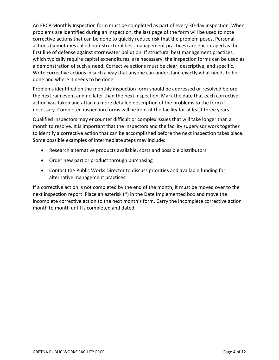An FRCP Monthly Inspection form must be completed as part of every 30-day inspection. When problems are identified during an inspection, the last page of the form will be used to note corrective actions that can be done to quickly reduce risk that the problem poses. Personal actions (sometimes called non-structural best management practices) are encouraged as the first line of defense against stormwater pollution. If structural best management practices, which typically require capital expenditures, are necessary, the inspection forms can be used as a demonstration of such a need. Corrective actions must be clear, descriptive, and specific. Write corrective actions in such a way that anyone can understand exactly what needs to be done and where it needs to be done.

Problems identified on the monthly inspection form should be addressed or resolved before the next rain event and no later than the next inspection. Mark the date that each corrective action was taken and attach a more detailed description of the problems to the form if necessary. Completed inspection forms will be kept at the facility for at least three years.

Qualified inspectors may encounter difficult or complex issues that will take longer than a month to resolve. It is important that the inspectors and the facility supervisor work together to identify a corrective action that can be accomplished before the next inspection takes place. Some possible examples of intermediate steps may include:

- Research alternative products available, costs and possible distributors
- Order new part or product through purchasing
- Contact the Public Works Director to discuss priorities and available funding for alternative management practices.

If a corrective action is not completed by the end of the month, it must be moved over to the next inspection report. Place an asterisk (\*) in the Date Implemented box and move the incomplete corrective action to the next month's form. Carry the incomplete corrective action month to month until is completed and dated.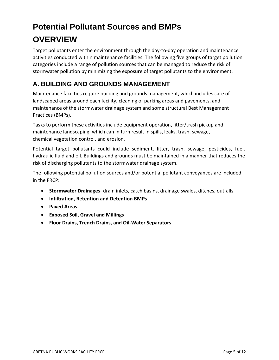## **Potential Pollutant Sources and BMPs OVERVIEW**

Target pollutants enter the environment through the day-to-day operation and maintenance activities conducted within maintenance facilities. The following five groups of target pollution categories include a range of pollution sources that can be managed to reduce the risk of stormwater pollution by minimizing the exposure of target pollutants to the environment.

#### **A. BUILDING AND GROUNDS MANAGEMENT**

Maintenance facilities require building and grounds management, which includes care of landscaped areas around each facility, cleaning of parking areas and pavements, and maintenance of the stormwater drainage system and some structural Best Management Practices (BMPs).

Tasks to perform these activities include equipment operation, litter/trash pickup and maintenance landscaping, which can in turn result in spills, leaks, trash, sewage, chemical vegetation control, and erosion.

Potential target pollutants could include sediment, litter, trash, sewage, pesticides, fuel, hydraulic fluid and oil. Buildings and grounds must be maintained in a manner that reduces the risk of discharging pollutants to the stormwater drainage system.

The following potential pollution sources and/or potential pollutant conveyances are included in the FRCP:

- **Stormwater Drainages** drain inlets, catch basins, drainage swales, ditches, outfalls
- **Infiltration, Retention and Detention BMPs**
- **Paved Areas**
- **Exposed Soil, Gravel and Millings**
- **Floor Drains, Trench Drains, and Oil-Water Separators**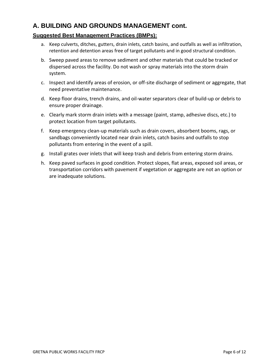#### **A. BUILDING AND GROUNDS MANAGEMENT cont.**

- a. Keep culverts, ditches, gutters, drain inlets, catch basins, and outfalls as well as infiltration, retention and detention areas free of target pollutants and in good structural condition.
- b. Sweep paved areas to remove sediment and other materials that could be tracked or dispersed across the facility. Do not wash or spray materials into the storm drain system.
- c. Inspect and identify areas of erosion, or off-site discharge of sediment or aggregate, that need preventative maintenance.
- d. Keep floor drains, trench drains, and oil-water separators clear of build-up or debris to ensure proper drainage.
- e. Clearly mark storm drain inlets with a message (paint, stamp, adhesive discs, etc.) to protect location from target pollutants.
- f. Keep emergency clean-up materials such as drain covers, absorbent booms, rags, or sandbags conveniently located near drain inlets, catch basins and outfalls to stop pollutants from entering in the event of a spill.
- g. Install grates over inlets that will keep trash and debris from entering storm drains.
- h. Keep paved surfaces in good condition. Protect slopes, flat areas, exposed soil areas, or transportation corridors with pavement if vegetation or aggregate are not an option or are inadequate solutions.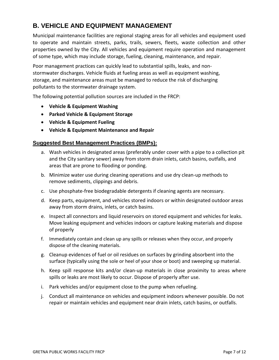#### **B. VEHICLE AND EQUIPMENT MANAGEMENT**

Municipal maintenance facilities are regional staging areas for all vehicles and equipment used to operate and maintain streets, parks, trails, sewers, fleets, waste collection and other properties owned by the City. All vehicles and equipment require operation and management of some type, which may include storage, fueling, cleaning, maintenance, and repair.

Poor management practices can quickly lead to substantial spills, leaks, and nonstormwater discharges. Vehicle fluids at fueling areas as well as equipment washing, storage, and maintenance areas must be managed to reduce the risk of discharging pollutants to the stormwater drainage system.

The following potential pollution sources are included in the FRCP:

- **Vehicle & Equipment Washing**
- **Parked Vehicle & Equipment Storage**
- **Vehicle & Equipment Fueling**
- **Vehicle & Equipment Maintenance and Repair**

- a. Wash vehicles in designated areas (preferably under cover with a pipe to a collection pit and the City sanitary sewer) away from storm drain inlets, catch basins, outfalls, and areas that are prone to flooding or ponding.
- b. Minimize water use during cleaning operations and use dry clean-up methods to remove sediments, clippings and debris.
- c. Use phosphate-free biodegradable detergents if cleaning agents are necessary.
- d. Keep parts, equipment, and vehicles stored indoors or within designated outdoor areas away from storm drains, inlets, or catch basins.
- e. Inspect all connectors and liquid reservoirs on stored equipment and vehicles for leaks. Move leaking equipment and vehicles indoors or capture leaking materials and dispose of properly
- f. Immediately contain and clean up any spills or releases when they occur, and properly dispose of the cleaning materials.
- g. Cleanup evidences of fuel or oil residues on surfaces by grinding absorbent into the surface (typically using the sole or heel of your shoe or boot) and sweeping up material.
- h. Keep spill response kits and/or clean-up materials in close proximity to areas where spills or leaks are most likely to occur. Dispose of properly after use.
- i. Park vehicles and/or equipment close to the pump when refueling.
- j. Conduct all maintenance on vehicles and equipment indoors whenever possible. Do not repair or maintain vehicles and equipment near drain inlets, catch basins, or outfalls.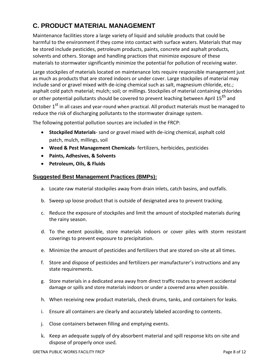### **C. PRODUCT MATERIAL MANAGEMENT**

Maintenance facilities store a large variety of liquid and soluble products that could be harmful to the environment if they come into contact with surface waters. Materials that may be stored include pesticides, petroleum products, paints, concrete and asphalt products, solvents and others. Storage and handling practices that minimize exposure of these materials to stormwater significantly minimize the potential for pollution of receiving water.

Large stockpiles of materials located on maintenance lots require responsible management just as much as products that are stored indoors or under cover. Large stockpiles of material may include sand or gravel mixed with de-icing chemical such as salt, magnesium chloride, etc.; asphalt cold patch material; mulch; soil; or millings. Stockpiles of material containing chlorides or other potential pollutants should be covered to prevent leaching between April 15<sup>th</sup> and October 1<sup>st</sup> in all cases and year-round when practical. All product materials must be managed to reduce the risk of discharging pollutants to the stormwater drainage system.

The following potential pollution sources are included in the FRCP:

- **Stockpiled Materials** sand or gravel mixed with de-icing chemical, asphalt cold patch, mulch, millings, soil
- **Weed & Pest Management Chemicals** fertilizers, herbicides, pesticides
- **Paints, Adhesives, & Solvents**
- **Petroleum, Oils, & Fluids**

- a. Locate raw material stockpiles away from drain inlets, catch basins, and outfalls.
- b. Sweep up loose product that is outside of designated area to prevent tracking.
- c. Reduce the exposure of stockpiles and limit the amount of stockpiled materials during the rainy season.
- d. To the extent possible, store materials indoors or cover piles with storm resistant coverings to prevent exposure to precipitation.
- e. Minimize the amount of pesticides and fertilizers that are stored on-site at all times.
- f. Store and dispose of pesticides and fertilizers per manufacturer's instructions and any state requirements.
- g. Store materials in a dedicated area away from direct traffic routes to prevent accidental damage or spills and store materials indoors or under a covered area when possible.
- h. When receiving new product materials, check drums, tanks, and containers for leaks.
- i. Ensure all containers are clearly and accurately labeled according to contents.
- j. Close containers between filling and emptying events.
- k. Keep an adequate supply of dry absorbent material and spill response kits on-site and dispose of properly once used.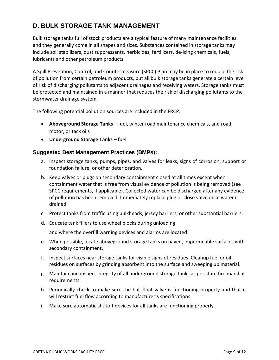#### **D. BULK STORAGE TANK MANAGEMENT**

Bulk storage tanks full of stock products are a typical feature of many maintenance facilities and they generally come in all shapes and sizes. Substances contained in storage tanks may include soil stabilizers, dust suppressants, herbicides, fertilizers, de-icing chemicals, fuels, lubricants and other petroleum products.

A Spill Prevention, Control, and Countermeasure (SPCC) Plan may be in place to reduce the risk of pollution from certain petroleum products, but all bulk storage tanks generate a certain level of risk of discharging pollutants to adjacent drainages and receiving waters. Storage tanks must be protected and maintained in a manner that reduces the risk of discharging pollutants to the stormwater drainage system.

The following potential pollution sources are included in the FRCP:

- **Aboveground Storage Tanks** fuel, winter road maintenance chemicals, and road, motor, or tack oils
- **Underground Storage Tanks –** fuel

#### **Suggested Best Management Practices (BMPs):**

- a. Inspect storage tanks, pumps, pipes, and valves for leaks, signs of corrosion, support or foundation failure, or other deterioration.
- b. Keep valves or plugs on secondary containment closed at all times except when containment water that is free from visual evidence of pollution is being removed (see SPCC requirements, if applicable). Collected water can be discharged after any evidence of pollution has been removed. Immediately replace plug or close valve once water is drained.
- c. Protect tanks from traffic using bulkheads, jersey barriers, or other substantial barriers.
- d. Educate tank fillers to use wheel blocks during unloading

and where the overfill warning devices and alarms are located.

- e. When possible, locate aboveground storage tanks on paved, impermeable surfaces with secondary containment.
- f. Inspect surfaces near storage tanks for visible signs of residues. Cleanup fuel or oil residues on surfaces by grinding absorbent into the surface and sweeping up material.
- g. Maintain and inspect integrity of all underground storage tanks as per state fire marshal requirements.
- h. Periodically check to make sure the ball float valve is functioning property and that it will restrict fuel flow according to manufacturer's specifications.
- i. Make sure automatic shutoff devices for all tanks are functioning properly.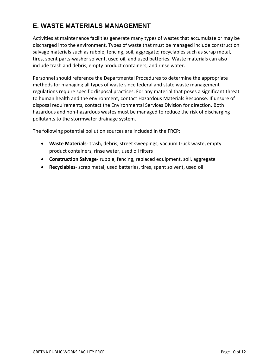#### **E. WASTE MATERIALS MANAGEMENT**

Activities at maintenance facilities generate many types of wastes that accumulate or may be discharged into the environment. Types of waste that must be managed include construction salvage materials such as rubble, fencing, soil, aggregate; recyclables such as scrap metal, tires, spent parts-washer solvent, used oil, and used batteries. Waste materials can also include trash and debris, empty product containers, and rinse water.

Personnel should reference the Departmental Procedures to determine the appropriate methods for managing all types of waste since federal and state waste management regulations require specific disposal practices. For any material that poses a significant threat to human health and the environment, contact Hazardous Materials Response. If unsure of disposal requirements, contact the Environmental Services Division for direction. Both hazardous and non-hazardous wastes must be managed to reduce the risk of discharging pollutants to the stormwater drainage system.

The following potential pollution sources are included in the FRCP:

- **Waste Materials** trash, debris, street sweepings, vacuum truck waste, empty product containers, rinse water, used oil filters
- **Construction Salvage** rubble, fencing, replaced equipment, soil, aggregate
- **Recyclables** scrap metal, used batteries, tires, spent solvent, used oil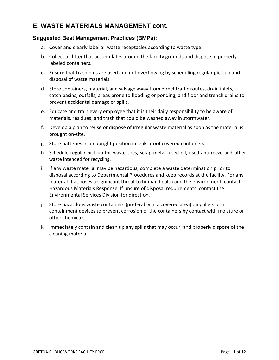#### **E. WASTE MATERIALS MANAGEMENT cont.**

- a. Cover and clearly label all waste receptacles according to waste type.
- b. Collect all litter that accumulates around the facility grounds and dispose in properly labeled containers.
- c. Ensure that trash bins are used and not overflowing by scheduling regular pick-up and disposal of waste materials.
- d. Store containers, material, and salvage away from direct traffic routes, drain inlets, catch basins, outfalls, areas prone to flooding or ponding, and floor and trench drains to prevent accidental damage or spills.
- e. Educate and train every employee that it is their daily responsibility to be aware of materials, residues, and trash that could be washed away in stormwater.
- f. Develop a plan to reuse or dispose of irregular waste material as soon as the material is brought on-site.
- g. Store batteries in an upright position in leak-proof covered containers.
- h. Schedule regular pick-up for waste tires, scrap metal, used oil, used antifreeze and other waste intended for recycling.
- i. If any waste material may be hazardous, complete a waste determination prior to disposal according to Departmental Procedures and keep records at the facility. For any material that poses a significant threat to human health and the environment, contact Hazardous Materials Response. If unsure of disposal requirements, contact the Environmental Services Division for direction.
- j. Store hazardous waste containers (preferably in a covered area) on pallets or in containment devices to prevent corrosion of the containers by contact with moisture or other chemicals.
- k. Immediately contain and clean up any spills that may occur, and properly dispose of the cleaning material.